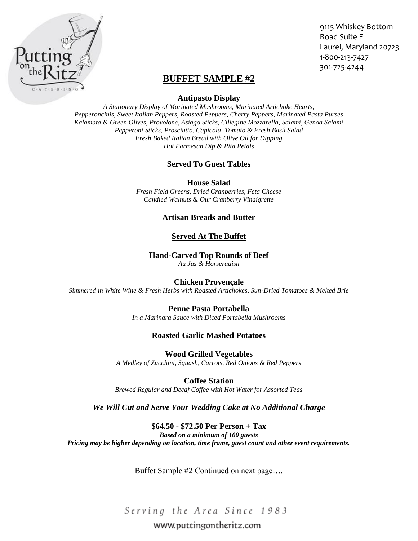

9115 Whiskey Bottom Road Suite E Laurel, Maryland 20723 1-800-213-7427 301-725-4244

# **BUFFET SAMPLE #2**

#### **Antipasto Display**

*A Stationary Display of Marinated Mushrooms, Marinated Artichoke Hearts, Pepperoncinis, Sweet Italian Peppers, Roasted Peppers, Cherry Peppers, Marinated Pasta Purses Kalamata & Green Olives, Provolone, Asiago Sticks, Ciliegine Mozzarella, Salami, Genoa Salami Pepperoni Sticks, Prosciutto, Capicola, Tomato & Fresh Basil Salad Fresh Baked Italian Bread with Olive Oil for Dipping Hot Parmesan Dip & Pita Petals*

## **Served To Guest Tables**

**House Salad**

*Fresh Field Greens, Dried Cranberries, Feta Cheese Candied Walnuts & Our Cranberry Vinaigrette*

## **Artisan Breads and Butter**

## **Served At The Buffet**

#### **Hand-Carved Top Rounds of Beef**

*Au Jus & Horseradish*

#### **Chicken Provençale**

*Simmered in White Wine & Fresh Herbs with Roasted Artichokes, Sun-Dried Tomatoes & Melted Brie*

#### **Penne Pasta Portabella**

*In a Marinara Sauce with Diced Portabella Mushrooms*

#### **Roasted Garlic Mashed Potatoes**

**Wood Grilled Vegetables** *A Medley of Zucchini, Squash, Carrots, Red Onions & Red Peppers*

**Coffee Station** *Brewed Regular and Decaf Coffee with Hot Water for Assorted Teas*

## *We Will Cut and Serve Your Wedding Cake at No Additional Charge*

## **\$64.50 - \$72.50 Per Person + Tax**

*Based on a minimum of 100 guests Pricing may be higher depending on location, time frame, guest count and other event requirements.*

Buffet Sample #2 Continued on next page….

Serving the Area Since 1983

# www.puttingontheritz.com